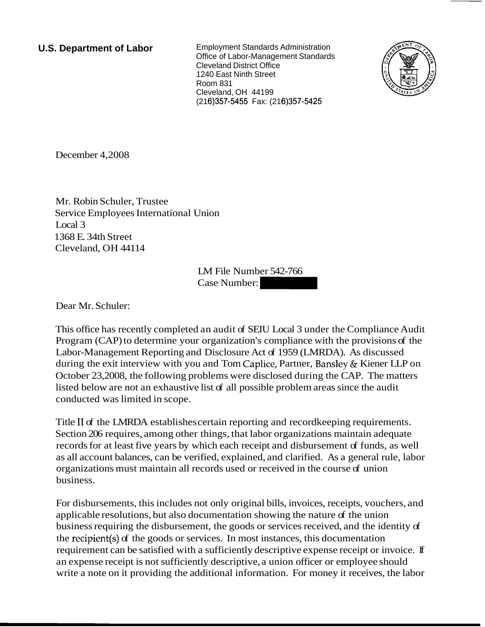**U.S. Department of Labor** Employment Standards Administration Office of Labor-Management Standards Cleveland District Office 1240 East Ninth Street Room 831 Cleveland, OH 44199 (216)357-5455 Fax: (216)357-5425



December 4,2008

Mr. Robin Schuler, Trustee Service Employees International Union Local 3 1368 E. 34th Street Cleveland, OH 44114

LM File Number 542-766 Jnion<br>LM File Number 542-766<br>Case Number:

Dear Mr. Schuler:

This office has recently completed an audit of SEIU Local 3 under the Compliance Audit Program (CAP) to determine your organization's compliance with the provisions of the Labor-Management Reporting and Disclosure Act of 1959 (LMRDA). As discussed during the exit interview with you and Tom Caplice, Partner, Bansley & Kiener LLP on October 23,2008, the following problems were disclosed during the CAP. The matters listed below are not an exhaustive list of all possible problem areas since the audit conducted was limited in scope.

Title I1 of the LMRDA establishes certain reporting and recordkeeping requirements. Section 206 requires, among other things, that labor organizations maintain adequate records for at least five years by which each receipt and disbursement of funds, as well as all account balances, can be verified, explained, and clarified. As a general rule, labor organizations must maintain all records used or received in the course of union business.

For disbursements, this includes not only original bills, invoices, receipts, vouchers, and applicable resolutions, but also documentation showing the nature of the union business requiring the disbursement, the goods or services received, and the identity of the recipient(s) of the goods or services. In most instances, this documentation requirement can be satisfied with a sufficiently descriptive expense receipt or invoice. If an expense receipt is not sufficiently descriptive, a union officer or employee should write a note on it providing the additional information. For money it receives, the labor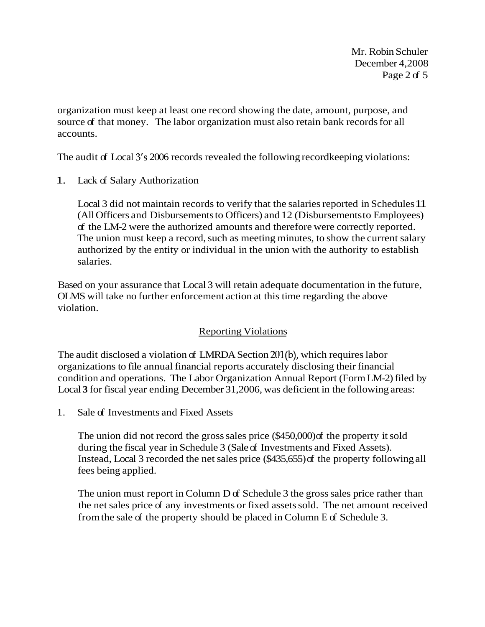Mr. Robin Schuler December 4,2008 Page 2 of 5

organization must keep at least one record showing the date, amount, purpose, and source of that money. The labor organization must also retain bank records for all accounts.

The audit of Local 3's 2006 records revealed the following record keeping violations:

1. Lack of Salary Authorization

Local 3 did not maintain records to verify that the salaries reported in Schedules 11 (All Officers and Disbursements to Officers) and 12 (Disbursements to Employees) of the LM-2 were the authorized amounts and therefore were correctly reported. The union must keep a record, such as meeting minutes, to show the current salary authorized by the entity or individual in the union with the authority to establish salaries.

Based on your assurance that Local 3 will retain adequate documentation in the future, OLMS will take no further enforcement action at this time regarding the above violation.

## Reporting Violations

The audit disclosed a violation of LMRDA Section 201(b), which requires labor organizations to file annual financial reports accurately disclosing their financial condition and operations. The Labor Organization Annual Report (Form LM-2) filed by Local **3** for fiscal year ending December 31,2006, was deficient in the following areas:

1. Sale of Investments and Fixed Assets

The union did not record the gross sales price (\$450,000) of the property it sold during the fiscal year in Schedule 3 (Sale of Investments and Fixed Assets). Instead, Local 3 recorded the net sales price (\$435,655) of the property following all fees being applied.

The union must report in Column D of Schedule 3 the gross sales price rather than the net sales price of any investments or fixed assets sold. The net amount received from the sale of the property should be placed in Column E of Schedule 3.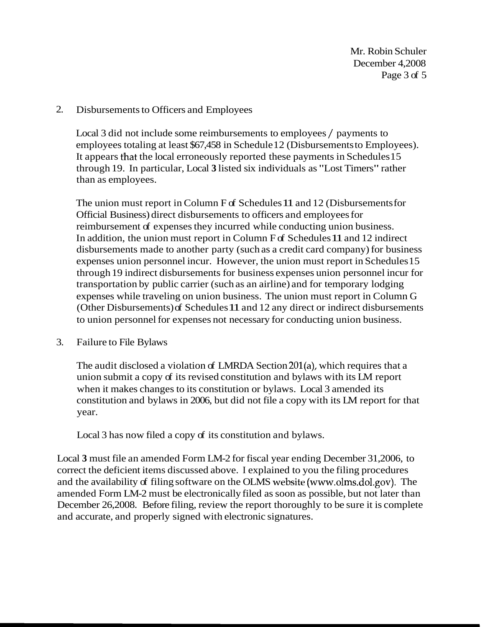Mr. Robin Schuler December 4,2008 Page 3 of 5

### 2. Disbursements to Officers and Employees

Local 3 did not include some reimbursements to employees / payments to employees totaling at least \$67,458 in Schedule 12 (Disbursements to Employees). It appears that the local erroneously reported these payments in Schedules 15 through 19. In particular, Local **3** listed six individuals as "Lost Timers" rather than as employees.

The union must report in Column F of Schedules 11 and 12 (Disbursements for Official Business) direct disbursements to officers and employees for reimbursement of expenses they incurred while conducting union business. In addition, the union must report in Column F of Schedules 11 and 12 indirect disbursements made to another party (such as a credit card company) for business expenses union personnel incur. However, the union must report in Schedules 15 through 19 indirect disbursements for business expenses union personnel incur for transportation by public carrier (such as an airline) and for temporary lodging expenses while traveling on union business. The union must report in Column G (Other Disbursements) of Schedules 11 and 12 any direct or indirect disbursements to union personnel for expenses not necessary for conducting union business.

#### 3. Failure to File Bylaws

The audit disclosed a violation of LMRDA Section 201(a), which requires that a union submit a copy of its revised constitution and bylaws with its LM report when it makes changes to its constitution or bylaws. Local 3 amended its constitution and bylaws in 2006, but did not file a copy with its LM report for that year.

Local 3 has now filed a copy of its constitution and bylaws.

Local **3** must file an amended Form LM-2 for fiscal year ending December 31,2006, to correct the deficient items discussed above. I explained to you the filing procedures and the availability of filing software on the OLMS website (www.olms.dol.gov). The amended Form LM-2 must be electronically filed as soon as possible, but not later than December 26,2008. Before filing, review the report thoroughly to be sure it is complete and accurate, and properly signed with electronic signatures.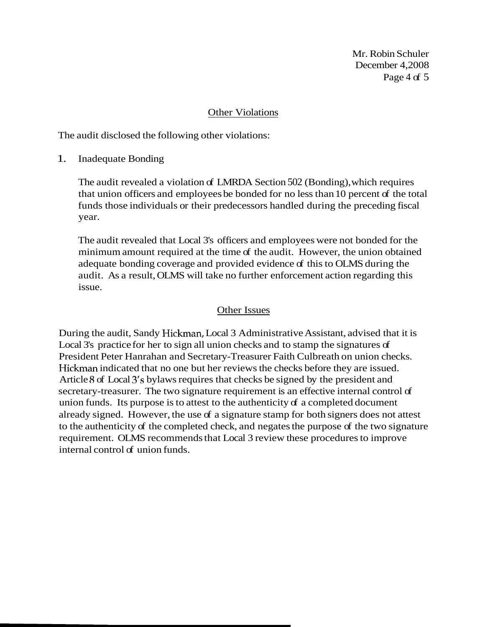Mr. Robin Schuler December 4,2008 Page 4 of 5

#### Other Violations

The audit disclosed the following other violations:

1. Inadequate Bonding

The audit revealed a violation of LMRDA Section 502 (Bonding), which requires that union officers and employees be bonded for no less than 10 percent of the total funds those individuals or their predecessors handled during the preceding fiscal year.

The audit revealed that Local 3's officers and employees were not bonded for the minimum amount required at the time of the audit. However, the union obtained adequate bonding coverage and provided evidence of this to OLMS during the audit. As a result, OLMS will take no further enforcement action regarding this issue.

### Other Issues

During the audit, Sandy Hickman, Local 3 Administrative Assistant, advised that it is Local 3's practice for her to sign all union checks and to stamp the signatures of President Peter Hanrahan and Secretary-Treasurer Faith Culbreath on union checks. Hickman indicated that no one but her reviews the checks before they are issued. Article 8 of Local 3's bylaws requires that checks be signed by the president and secretary-treasurer. The two signature requirement is an effective internal control of union funds. Its purpose is to attest to the authenticity of a completed document already signed. However, the use of a signature stamp for both signers does not attest to the authenticity of the completed check, and negates the purpose of the two signature requirement. OLMS recommends that Local 3 review these procedures to improve internal control of union funds.